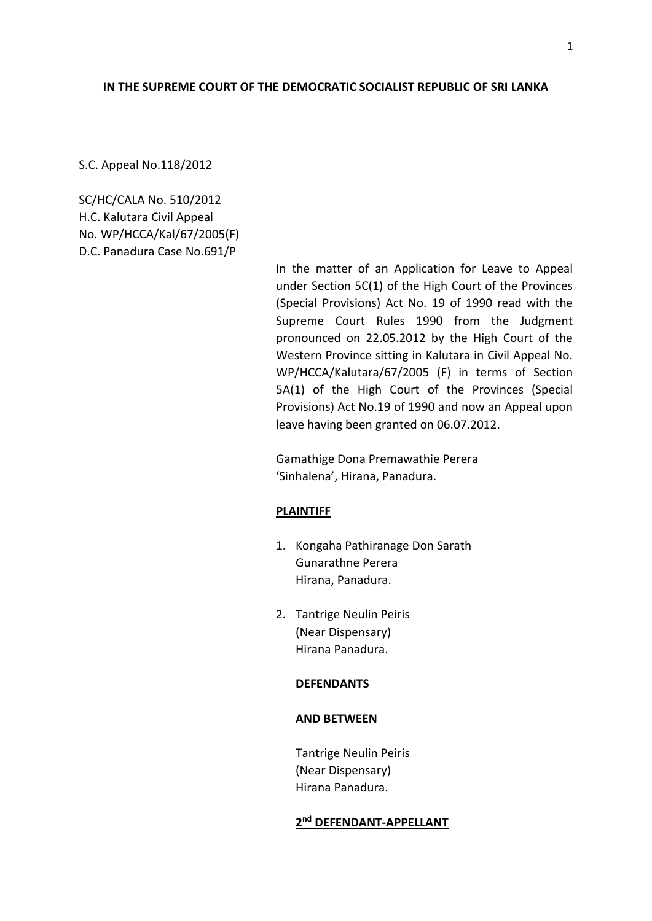#### **IN THE SUPREME COURT OF THE DEMOCRATIC SOCIALIST REPUBLIC OF SRI LANKA**

S.C. Appeal No.118/2012

SC/HC/CALA No. 510/2012 H.C. Kalutara Civil Appeal No. WP/HCCA/Kal/67/2005(F) D.C. Panadura Case No.691/P

> In the matter of an Application for Leave to Appeal under Section 5C(1) of the High Court of the Provinces (Special Provisions) Act No. 19 of 1990 read with the Supreme Court Rules 1990 from the Judgment pronounced on 22.05.2012 by the High Court of the Western Province sitting in Kalutara in Civil Appeal No. WP/HCCA/Kalutara/67/2005 (F) in terms of Section 5A(1) of the High Court of the Provinces (Special Provisions) Act No.19 of 1990 and now an Appeal upon leave having been granted on 06.07.2012.

Gamathige Dona Premawathie Perera 'Sinhalena', Hirana, Panadura.

### **PLAINTIFF**

- 1. Kongaha Pathiranage Don Sarath Gunarathne Perera Hirana, Panadura.
- 2. Tantrige Neulin Peiris (Near Dispensary) Hirana Panadura.

#### **DEFENDANTS**

#### **AND BETWEEN**

Tantrige Neulin Peiris (Near Dispensary) Hirana Panadura.

### **2 nd DEFENDANT-APPELLANT**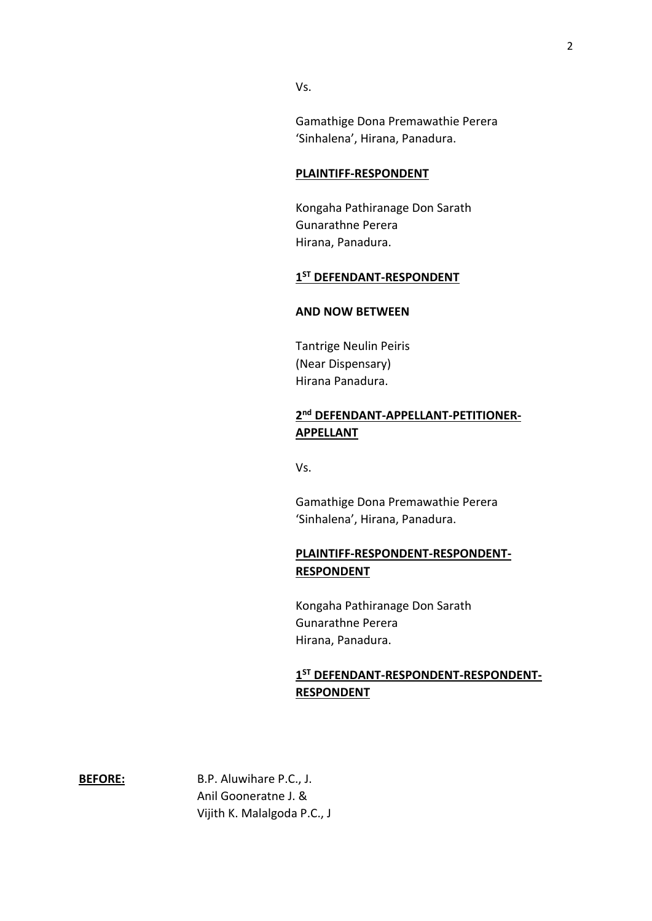Vs.

Gamathige Dona Premawathie Perera 'Sinhalena', Hirana, Panadura.

### **PLAINTIFF-RESPONDENT**

Kongaha Pathiranage Don Sarath Gunarathne Perera Hirana, Panadura.

### **1 ST DEFENDANT-RESPONDENT**

### **AND NOW BETWEEN**

Tantrige Neulin Peiris (Near Dispensary) Hirana Panadura.

## **2 nd DEFENDANT-APPELLANT-PETITIONER-APPELLANT**

Vs.

Gamathige Dona Premawathie Perera 'Sinhalena', Hirana, Panadura.

# **PLAINTIFF-RESPONDENT-RESPONDENT-RESPONDENT**

Kongaha Pathiranage Don Sarath Gunarathne Perera Hirana, Panadura.

# **1 ST DEFENDANT-RESPONDENT-RESPONDENT-RESPONDENT**

**BEFORE:** B.P. Aluwihare P.C., J. Anil Gooneratne J. & Vijith K. Malalgoda P.C., J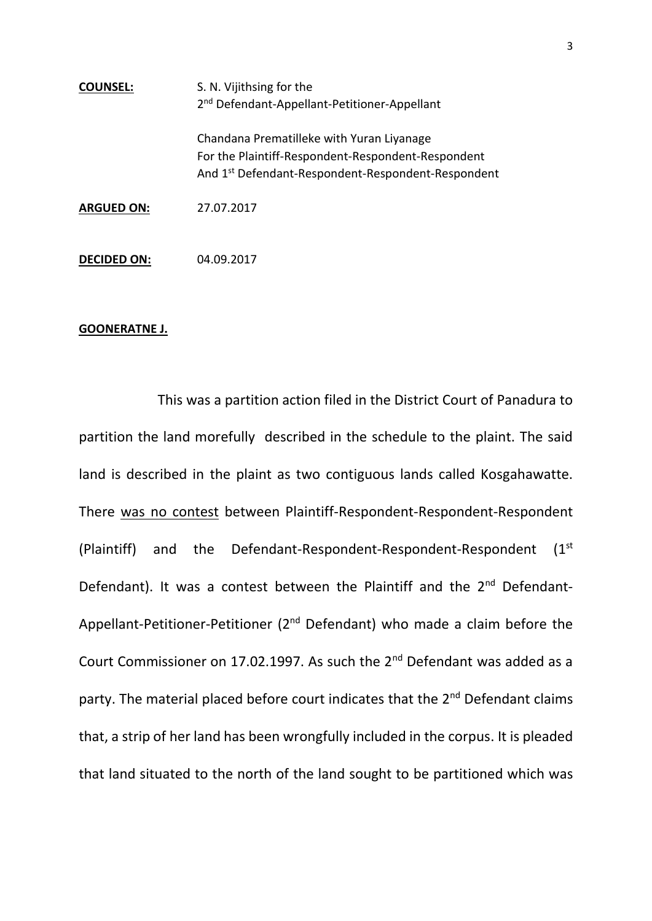| <b>COUNSEL:</b>    | S. N. Vijithsing for the<br>2 <sup>nd</sup> Defendant-Appellant-Petitioner-Appellant                                                                              |
|--------------------|-------------------------------------------------------------------------------------------------------------------------------------------------------------------|
|                    | Chandana Prematilleke with Yuran Liyanage<br>For the Plaintiff-Respondent-Respondent-Respondent<br>And 1 <sup>st</sup> Defendant-Respondent-Respondent-Respondent |
| <b>ARGUED ON:</b>  | 27.07.2017                                                                                                                                                        |
| <b>DECIDED ON:</b> | 04.09.2017                                                                                                                                                        |

#### **GOONERATNE J.**

This was a partition action filed in the District Court of Panadura to partition the land morefully described in the schedule to the plaint. The said land is described in the plaint as two contiguous lands called Kosgahawatte. There was no contest between Plaintiff-Respondent-Respondent-Respondent (Plaintiff) and the Defendant-Respondent-Respondent-Respondent (1st Defendant). It was a contest between the Plaintiff and the 2<sup>nd</sup> Defendant-Appellant-Petitioner-Petitioner (2<sup>nd</sup> Defendant) who made a claim before the Court Commissioner on 17.02.1997. As such the 2<sup>nd</sup> Defendant was added as a party. The material placed before court indicates that the 2<sup>nd</sup> Defendant claims that, a strip of her land has been wrongfully included in the corpus. It is pleaded that land situated to the north of the land sought to be partitioned which was

3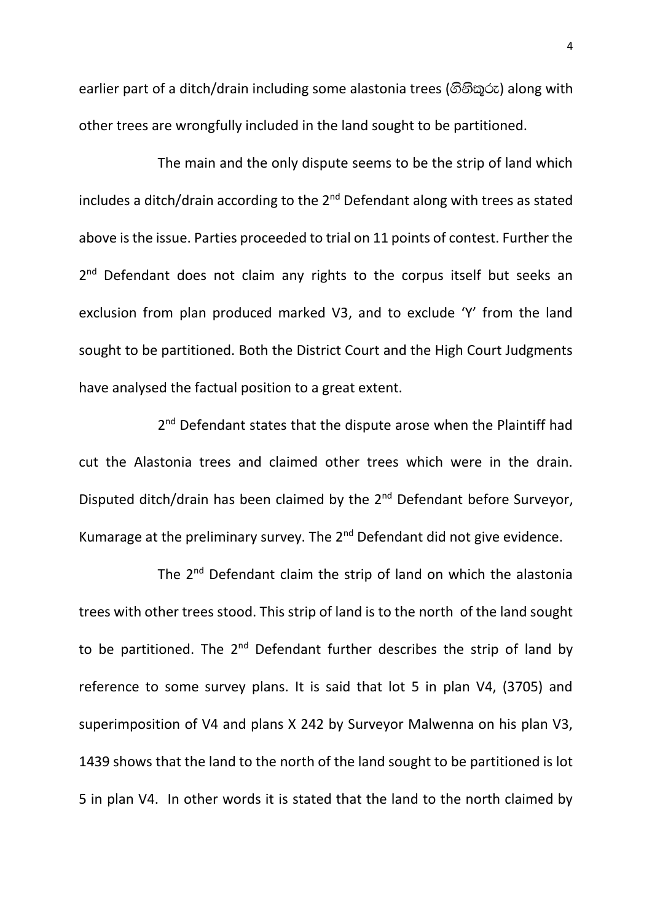earlier part of a ditch/drain including some alastonia trees (ගිනිකුරු) along with other trees are wrongfully included in the land sought to be partitioned.

The main and the only dispute seems to be the strip of land which includes a ditch/drain according to the  $2<sup>nd</sup>$  Defendant along with trees as stated above is the issue. Parties proceeded to trial on 11 points of contest. Further the 2<sup>nd</sup> Defendant does not claim any rights to the corpus itself but seeks an exclusion from plan produced marked V3, and to exclude 'Y' from the land sought to be partitioned. Both the District Court and the High Court Judgments have analysed the factual position to a great extent.

2<sup>nd</sup> Defendant states that the dispute arose when the Plaintiff had cut the Alastonia trees and claimed other trees which were in the drain. Disputed ditch/drain has been claimed by the 2<sup>nd</sup> Defendant before Surveyor, Kumarage at the preliminary survey. The  $2^{nd}$  Defendant did not give evidence.

The 2<sup>nd</sup> Defendant claim the strip of land on which the alastonia trees with other trees stood. This strip of land is to the north of the land sought to be partitioned. The  $2^{nd}$  Defendant further describes the strip of land by reference to some survey plans. It is said that lot 5 in plan V4, (3705) and superimposition of V4 and plans X 242 by Surveyor Malwenna on his plan V3, 1439 shows that the land to the north of the land sought to be partitioned is lot 5 in plan V4. In other words it is stated that the land to the north claimed by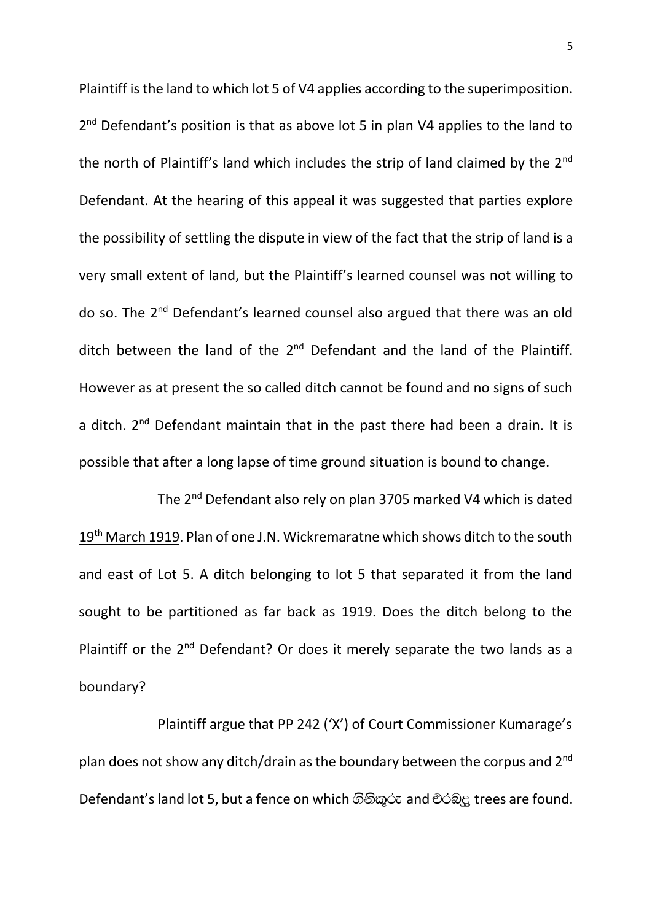Plaintiff is the land to which lot 5 of V4 applies according to the superimposition. 2<sup>nd</sup> Defendant's position is that as above lot 5 in plan V4 applies to the land to the north of Plaintiff's land which includes the strip of land claimed by the 2<sup>nd</sup> Defendant. At the hearing of this appeal it was suggested that parties explore the possibility of settling the dispute in view of the fact that the strip of land is a very small extent of land, but the Plaintiff's learned counsel was not willing to do so. The 2<sup>nd</sup> Defendant's learned counsel also argued that there was an old ditch between the land of the 2<sup>nd</sup> Defendant and the land of the Plaintiff. However as at present the so called ditch cannot be found and no signs of such a ditch. 2<sup>nd</sup> Defendant maintain that in the past there had been a drain. It is possible that after a long lapse of time ground situation is bound to change.

The 2<sup>nd</sup> Defendant also rely on plan 3705 marked V4 which is dated 19<sup>th</sup> March 1919. Plan of one J.N. Wickremaratne which shows ditch to the south and east of Lot 5. A ditch belonging to lot 5 that separated it from the land sought to be partitioned as far back as 1919. Does the ditch belong to the Plaintiff or the 2<sup>nd</sup> Defendant? Or does it merely separate the two lands as a boundary?

Plaintiff argue that PP 242 ('X') of Court Commissioner Kumarage's plan does not show any ditch/drain as the boundary between the corpus and 2<sup>nd</sup> Defendant's land lot 5, but a fence on which ගිනිකුරු and එරබදු trees are found.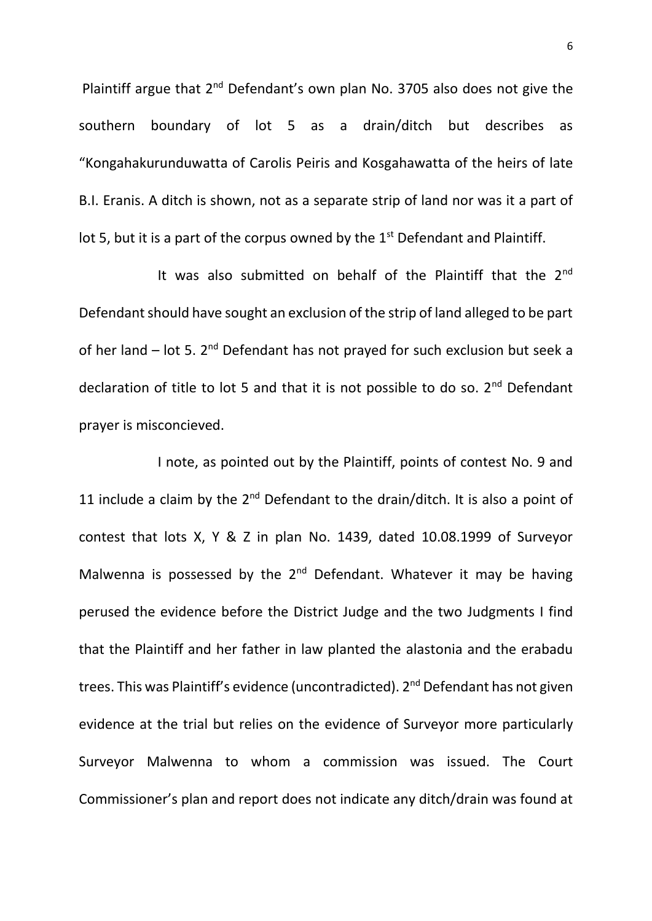Plaintiff argue that  $2^{nd}$  Defendant's own plan No. 3705 also does not give the southern boundary of lot 5 as a drain/ditch but describes as "Kongahakurunduwatta of Carolis Peiris and Kosgahawatta of the heirs of late B.I. Eranis. A ditch is shown, not as a separate strip of land nor was it a part of lot 5, but it is a part of the corpus owned by the  $1<sup>st</sup>$  Defendant and Plaintiff.

It was also submitted on behalf of the Plaintiff that the 2<sup>nd</sup> Defendant should have sought an exclusion of the strip of land alleged to be part of her land  $-$  lot 5.  $2<sup>nd</sup>$  Defendant has not prayed for such exclusion but seek a declaration of title to lot 5 and that it is not possible to do so.  $2^{nd}$  Defendant prayer is misconcieved.

I note, as pointed out by the Plaintiff, points of contest No. 9 and 11 include a claim by the  $2^{nd}$  Defendant to the drain/ditch. It is also a point of contest that lots X, Y & Z in plan No. 1439, dated 10.08.1999 of Surveyor Malwenna is possessed by the  $2^{nd}$  Defendant. Whatever it may be having perused the evidence before the District Judge and the two Judgments I find that the Plaintiff and her father in law planted the alastonia and the erabadu trees. This was Plaintiff's evidence (uncontradicted). 2<sup>nd</sup> Defendant has not given evidence at the trial but relies on the evidence of Surveyor more particularly Surveyor Malwenna to whom a commission was issued. The Court Commissioner's plan and report does not indicate any ditch/drain was found at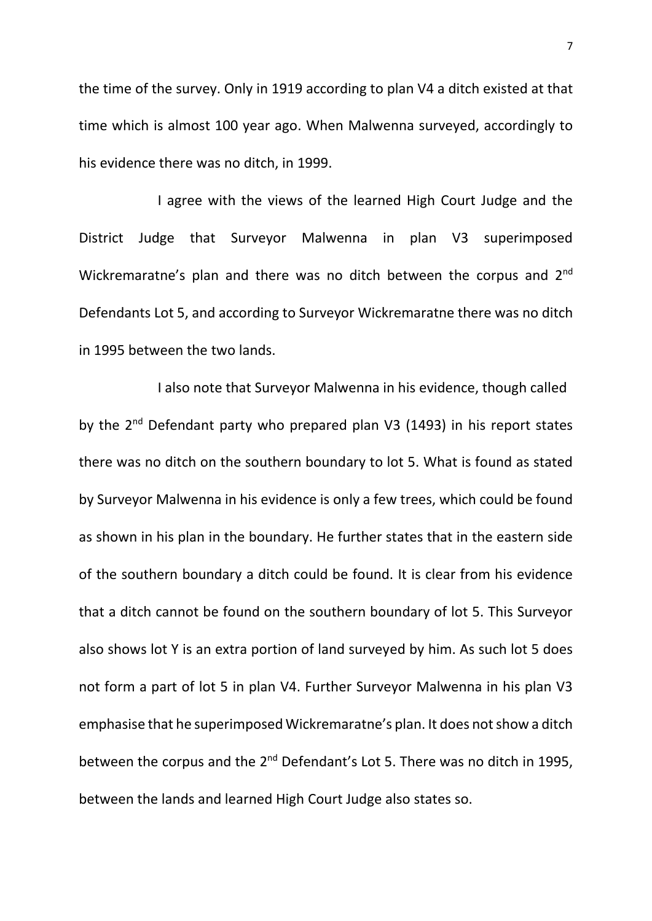the time of the survey. Only in 1919 according to plan V4 a ditch existed at that time which is almost 100 year ago. When Malwenna surveyed, accordingly to his evidence there was no ditch, in 1999.

I agree with the views of the learned High Court Judge and the District Judge that Surveyor Malwenna in plan V3 superimposed Wickremaratne's plan and there was no ditch between the corpus and 2<sup>nd</sup> Defendants Lot 5, and according to Surveyor Wickremaratne there was no ditch in 1995 between the two lands.

I also note that Surveyor Malwenna in his evidence, though called by the 2<sup>nd</sup> Defendant party who prepared plan V3 (1493) in his report states there was no ditch on the southern boundary to lot 5. What is found as stated by Surveyor Malwenna in his evidence is only a few trees, which could be found as shown in his plan in the boundary. He further states that in the eastern side of the southern boundary a ditch could be found. It is clear from his evidence that a ditch cannot be found on the southern boundary of lot 5. This Surveyor also shows lot Y is an extra portion of land surveyed by him. As such lot 5 does not form a part of lot 5 in plan V4. Further Surveyor Malwenna in his plan V3 emphasise that he superimposed Wickremaratne's plan. It does not show a ditch between the corpus and the 2<sup>nd</sup> Defendant's Lot 5. There was no ditch in 1995, between the lands and learned High Court Judge also states so.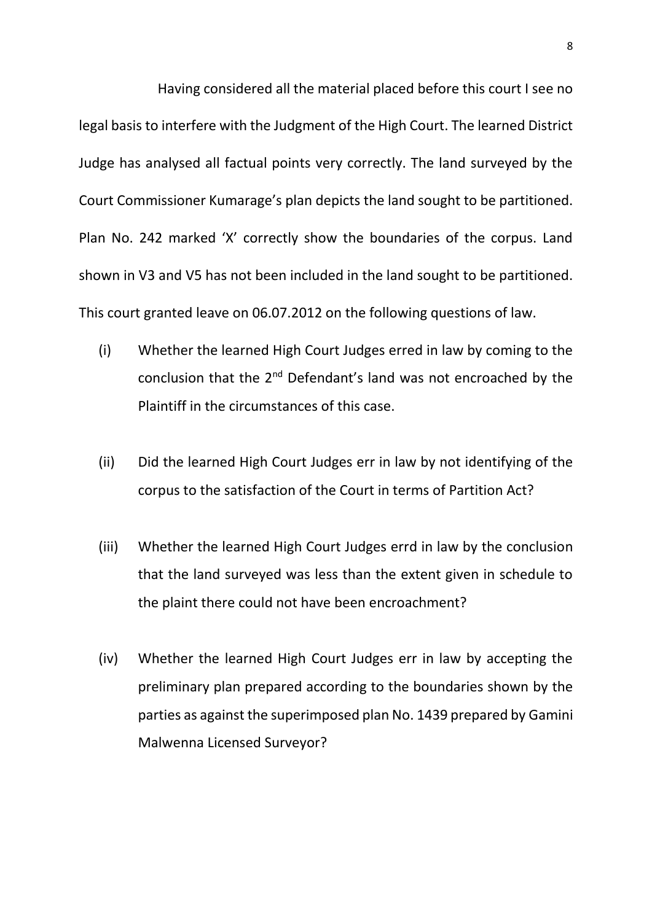Having considered all the material placed before this court I see no legal basis to interfere with the Judgment of the High Court. The learned District Judge has analysed all factual points very correctly. The land surveyed by the Court Commissioner Kumarage's plan depicts the land sought to be partitioned. Plan No. 242 marked 'X' correctly show the boundaries of the corpus. Land shown in V3 and V5 has not been included in the land sought to be partitioned. This court granted leave on 06.07.2012 on the following questions of law.

- (i) Whether the learned High Court Judges erred in law by coming to the conclusion that the 2<sup>nd</sup> Defendant's land was not encroached by the Plaintiff in the circumstances of this case.
- (ii) Did the learned High Court Judges err in law by not identifying of the corpus to the satisfaction of the Court in terms of Partition Act?
- (iii) Whether the learned High Court Judges errd in law by the conclusion that the land surveyed was less than the extent given in schedule to the plaint there could not have been encroachment?
- (iv) Whether the learned High Court Judges err in law by accepting the preliminary plan prepared according to the boundaries shown by the parties as against the superimposed plan No. 1439 prepared by Gamini Malwenna Licensed Surveyor?